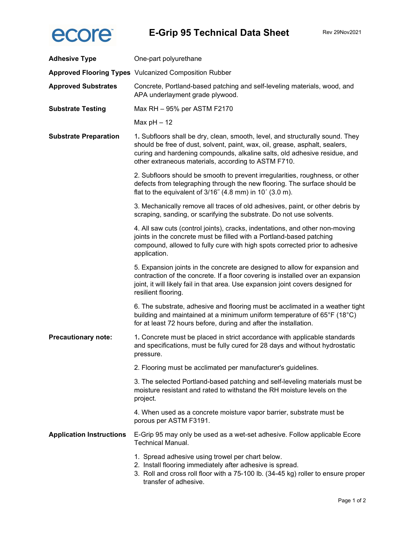

| <b>Adhesive Type</b>            | One-part polyurethane                                                                                                                                                                                                                                                                            |  |
|---------------------------------|--------------------------------------------------------------------------------------------------------------------------------------------------------------------------------------------------------------------------------------------------------------------------------------------------|--|
|                                 | <b>Approved Flooring Types</b> Vulcanized Composition Rubber                                                                                                                                                                                                                                     |  |
| <b>Approved Substrates</b>      | Concrete, Portland-based patching and self-leveling materials, wood, and<br>APA underlayment grade plywood.                                                                                                                                                                                      |  |
| <b>Substrate Testing</b>        | Max RH - 95% per ASTM F2170                                                                                                                                                                                                                                                                      |  |
|                                 | Max $pH - 12$                                                                                                                                                                                                                                                                                    |  |
| <b>Substrate Preparation</b>    | 1. Subfloors shall be dry, clean, smooth, level, and structurally sound. They<br>should be free of dust, solvent, paint, wax, oil, grease, asphalt, sealers,<br>curing and hardening compounds, alkaline salts, old adhesive residue, and<br>other extraneous materials, according to ASTM F710. |  |
|                                 | 2. Subfloors should be smooth to prevent irregularities, roughness, or other<br>defects from telegraphing through the new flooring. The surface should be<br>flat to the equivalent of 3/16" (4.8 mm) in 10' (3.0 m).                                                                            |  |
|                                 | 3. Mechanically remove all traces of old adhesives, paint, or other debris by<br>scraping, sanding, or scarifying the substrate. Do not use solvents.                                                                                                                                            |  |
|                                 | 4. All saw cuts (control joints), cracks, indentations, and other non-moving<br>joints in the concrete must be filled with a Portland-based patching<br>compound, allowed to fully cure with high spots corrected prior to adhesive<br>application.                                              |  |
|                                 | 5. Expansion joints in the concrete are designed to allow for expansion and<br>contraction of the concrete. If a floor covering is installed over an expansion<br>joint, it will likely fail in that area. Use expansion joint covers designed for<br>resilient flooring.                        |  |
|                                 | 6. The substrate, adhesive and flooring must be acclimated in a weather tight<br>building and maintained at a minimum uniform temperature of 65°F (18°C)<br>for at least 72 hours before, during and after the installation.                                                                     |  |
| <b>Precautionary note:</b>      | 1. Concrete must be placed in strict accordance with applicable standards<br>and specifications, must be fully cured for 28 days and without hydrostatic<br>pressure.                                                                                                                            |  |
|                                 | 2. Flooring must be acclimated per manufacturer's guidelines.                                                                                                                                                                                                                                    |  |
|                                 | 3. The selected Portland-based patching and self-leveling materials must be<br>moisture resistant and rated to withstand the RH moisture levels on the<br>project.                                                                                                                               |  |
|                                 | 4. When used as a concrete moisture vapor barrier, substrate must be<br>porous per ASTM F3191.                                                                                                                                                                                                   |  |
| <b>Application Instructions</b> | E-Grip 95 may only be used as a wet-set adhesive. Follow applicable Ecore<br><b>Technical Manual.</b>                                                                                                                                                                                            |  |
|                                 | 1. Spread adhesive using trowel per chart below.<br>2. Install flooring immediately after adhesive is spread.<br>3. Roll and cross roll floor with a 75-100 lb. (34-45 kg) roller to ensure proper<br>transfer of adhesive.                                                                      |  |